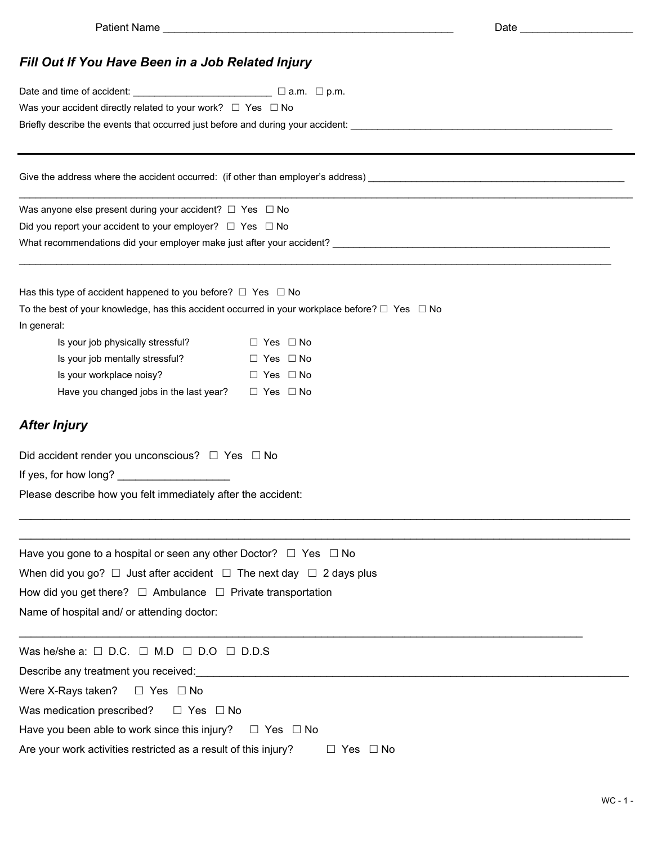## *Fill Out If You Have Been in a Job Related Injury*

| Date and time of accident: $\qquad \qquad \qquad \qquad \Box$ a.m. $\Box$ p.m.             |                                                                                                                                                                                                                                |  |  |  |  |  |  |  |  |
|--------------------------------------------------------------------------------------------|--------------------------------------------------------------------------------------------------------------------------------------------------------------------------------------------------------------------------------|--|--|--|--|--|--|--|--|
| Was your accident directly related to your work? $\Box$ Yes $\Box$ No                      |                                                                                                                                                                                                                                |  |  |  |  |  |  |  |  |
|                                                                                            |                                                                                                                                                                                                                                |  |  |  |  |  |  |  |  |
|                                                                                            |                                                                                                                                                                                                                                |  |  |  |  |  |  |  |  |
| Was anyone else present during your accident? $\Box$ Yes $\Box$ No                         |                                                                                                                                                                                                                                |  |  |  |  |  |  |  |  |
| Did you report your accident to your employer? $\Box$ Yes $\Box$ No                        |                                                                                                                                                                                                                                |  |  |  |  |  |  |  |  |
|                                                                                            | What recommendations did your employer make just after your accident? [18] Many Management of the state of the state of the state of the state of the state of the state of the state of the state of the state of the state o |  |  |  |  |  |  |  |  |
| Has this type of accident happened to you before? $\Box$ Yes $\Box$ No                     |                                                                                                                                                                                                                                |  |  |  |  |  |  |  |  |
| In general:                                                                                | To the best of your knowledge, has this accident occurred in your workplace before? $\square$ Yes $\square$ No                                                                                                                 |  |  |  |  |  |  |  |  |
| Is your job physically stressful?                                                          | $\Box$ Yes $\Box$ No                                                                                                                                                                                                           |  |  |  |  |  |  |  |  |
| Is your job mentally stressful?                                                            | $\Box$ Yes $\Box$ No                                                                                                                                                                                                           |  |  |  |  |  |  |  |  |
| Is your workplace noisy?                                                                   | $\Box$ Yes $\Box$ No                                                                                                                                                                                                           |  |  |  |  |  |  |  |  |
| Have you changed jobs in the last year? $\square$ Yes $\square$ No                         |                                                                                                                                                                                                                                |  |  |  |  |  |  |  |  |
| <b>After Injury</b>                                                                        |                                                                                                                                                                                                                                |  |  |  |  |  |  |  |  |
| Did accident render you unconscious? $\Box$ Yes $\Box$ No                                  |                                                                                                                                                                                                                                |  |  |  |  |  |  |  |  |
| If yes, for how long? ________________________                                             |                                                                                                                                                                                                                                |  |  |  |  |  |  |  |  |
| Please describe how you felt immediately after the accident:                               |                                                                                                                                                                                                                                |  |  |  |  |  |  |  |  |
| Have you gone to a hospital or seen any other Doctor? $\Box$ Yes $\Box$ No                 |                                                                                                                                                                                                                                |  |  |  |  |  |  |  |  |
| When did you go? $\Box$ Just after accident $\Box$ The next day $\Box$ 2 days plus         |                                                                                                                                                                                                                                |  |  |  |  |  |  |  |  |
| How did you get there? $\Box$ Ambulance $\Box$ Private transportation                      |                                                                                                                                                                                                                                |  |  |  |  |  |  |  |  |
| Name of hospital and/ or attending doctor:                                                 |                                                                                                                                                                                                                                |  |  |  |  |  |  |  |  |
| Was he/she a: $\Box$ D.C. $\Box$ M.D $\Box$ D.O $\Box$ D.D.S                               |                                                                                                                                                                                                                                |  |  |  |  |  |  |  |  |
|                                                                                            |                                                                                                                                                                                                                                |  |  |  |  |  |  |  |  |
| Were X-Rays taken? $\square$ Yes $\square$ No                                              |                                                                                                                                                                                                                                |  |  |  |  |  |  |  |  |
| Was medication prescribed?<br>$\Box$ Yes $\Box$ No                                         |                                                                                                                                                                                                                                |  |  |  |  |  |  |  |  |
| Have you been able to work since this injury? $\square$ Yes $\square$ No                   |                                                                                                                                                                                                                                |  |  |  |  |  |  |  |  |
| Are your work activities restricted as a result of this injury? $\square$ Yes $\square$ No |                                                                                                                                                                                                                                |  |  |  |  |  |  |  |  |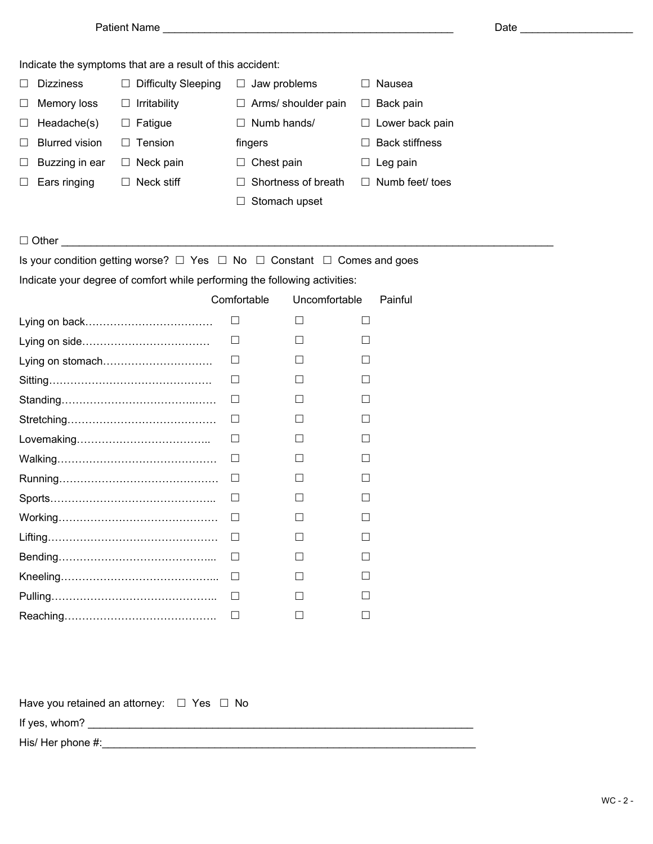|       | Indicate the symptoms that are a result of this accident: |         |                     |        |                     |              |                       |  |  |  |
|-------|-----------------------------------------------------------|---------|---------------------|--------|---------------------|--------------|-----------------------|--|--|--|
|       | <b>Dizziness</b>                                          | Ш       | Difficulty Sleeping |        | Jaw problems        | Nausea       |                       |  |  |  |
|       | Memory loss                                               | ப       | Irritability        |        | Arms/ shoulder pain | ப            | Back pain             |  |  |  |
| ш     | Headache(s)                                               | ш       | Fatigue             | $\Box$ | Numb hands/         | $\mathbf{L}$ | Lower back pain       |  |  |  |
|       | <b>Blurred vision</b>                                     | $\perp$ | Tension             |        | fingers             |              | <b>Back stiffness</b> |  |  |  |
|       | Buzzing in ear                                            | $\Box$  | Neck pain           |        | Chest pain          |              | Leg pain              |  |  |  |
|       | Ears ringing                                              |         | Neck stiff          |        | Shortness of breath | $\mathbf{1}$ | Numb feet/ toes       |  |  |  |
|       |                                                           |         |                     |        | Stomach upset       |              |                       |  |  |  |
|       |                                                           |         |                     |        |                     |              |                       |  |  |  |
| Other |                                                           |         |                     |        |                     |              |                       |  |  |  |

Is your condition getting worse?  $\Box$  Yes  $\Box$  No  $\Box$  Constant  $\Box$  Comes and goes

Indicate your degree of comfort while performing the following activities:

|                  | Comfortable | Uncomfortable            | Painful                  |
|------------------|-------------|--------------------------|--------------------------|
|                  | ΙI          | $\overline{\phantom{a}}$ | $\overline{\phantom{a}}$ |
|                  |             |                          |                          |
| Lying on stomach |             |                          |                          |
|                  |             |                          |                          |
|                  | □           |                          | H                        |
|                  | ⊔           |                          |                          |
|                  |             |                          |                          |
|                  | ш           |                          |                          |
|                  | □           |                          | $\mathsf{L}$             |
|                  |             |                          |                          |
|                  | ш           |                          |                          |
|                  | ш           |                          | П                        |
|                  | П           |                          | $\mathsf{L}$             |
|                  | □           |                          | $\Box$                   |
|                  | $\Box$      |                          |                          |
|                  | IJ          | $\overline{\phantom{a}}$ |                          |

Have you retained an attorney:  $\Box$  Yes  $\Box$  No

If yes, whom? \_\_\_\_\_\_\_\_\_\_\_\_\_\_\_\_\_\_\_\_\_\_\_\_\_\_\_\_\_\_\_\_\_\_\_\_\_\_\_\_\_\_\_\_\_\_\_\_\_\_\_\_\_\_\_\_\_\_\_\_\_\_\_\_\_

His/ Her phone #:\_\_\_\_\_\_\_\_\_\_\_\_\_\_\_\_\_\_\_\_\_\_\_\_\_\_\_\_\_\_\_\_\_\_\_\_\_\_\_\_\_\_\_\_\_\_\_\_\_\_\_\_\_\_\_\_\_\_\_\_\_\_\_